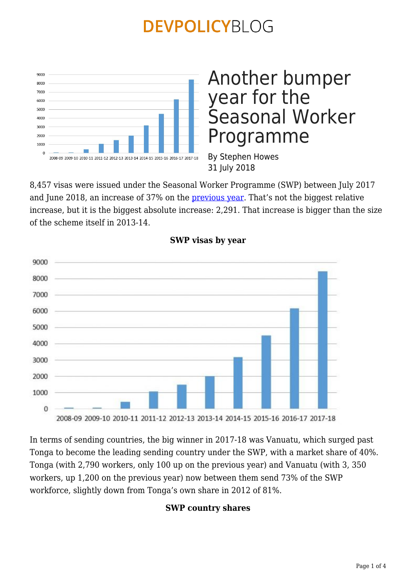

## Another bumper year for the Seasonal Worker Programme

By Stephen Howes 31 July 2018

8,457 visas were issued under the Seasonal Worker Programme (SWP) between July 2017 and June 2018, an increase of 37% on the **[previous year](https://devpolicy.org/seasonal-worker-programme-2016-17-20180108/)**. That's not the biggest relative increase, but it is the biggest absolute increase: 2,291. That increase is bigger than the size of the scheme itself in 2013-14.



### **SWP visas by year**

In terms of sending countries, the big winner in 2017-18 was Vanuatu, which surged past Tonga to become the leading sending country under the SWP, with a market share of 40%. Tonga (with 2,790 workers, only 100 up on the previous year) and Vanuatu (with 3, 350 workers, up 1,200 on the previous year) now between them send 73% of the SWP workforce, slightly down from Tonga's own share in 2012 of 81%.

#### **SWP country shares**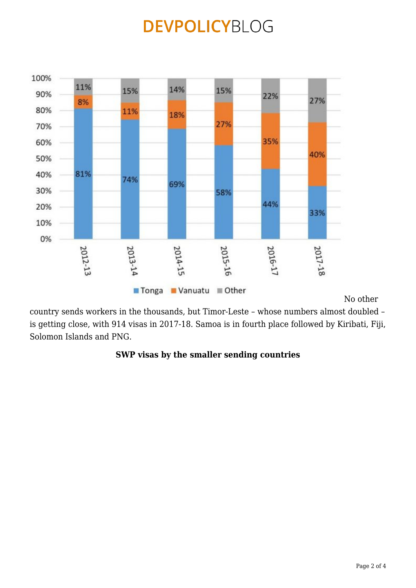

No other

country sends workers in the thousands, but Timor-Leste – whose numbers almost doubled – is getting close, with 914 visas in 2017-18. Samoa is in fourth place followed by Kiribati, Fiji, Solomon Islands and PNG.

#### **SWP visas by the smaller sending countries**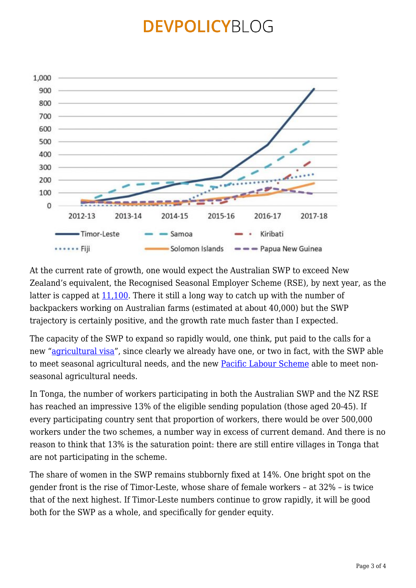

At the current rate of growth, one would expect the Australian SWP to exceed New Zealand's equivalent, the Recognised Seasonal Employer Scheme (RSE), by next year, as the latter is capped at [11,100](https://www.radionz.co.nz/international/pacific-news/356985/kiwifruit-body-wants-more-rse-workers). There it still a long way to catch up with the number of backpackers working on Australian farms (estimated at about 40,000) but the SWP trajectory is certainly positive, and the growth rate much faster than I expected.

The capacity of the SWP to expand so rapidly would, one think, put paid to the calls for a new ["agricultural visa"](https://devpolicy.org/asia-or-pacific-where-we-will-source-agricultural-labour-20180521/), since clearly we already have one, or two in fact, with the SWP able to meet seasonal agricultural needs, and the new [Pacific Labour Scheme](https://devpolicy.org/labour-mobility-win-australia-and-the-pacific-20180703/) able to meet nonseasonal agricultural needs.

In Tonga, the number of workers participating in both the Australian SWP and the NZ RSE has reached an impressive 13% of the eligible sending population (those aged 20-45). If every participating country sent that proportion of workers, there would be over 500,000 workers under the two schemes, a number way in excess of current demand. And there is no reason to think that 13% is the saturation point: there are still entire villages in Tonga that are not participating in the scheme.

The share of women in the SWP remains stubbornly fixed at 14%. One bright spot on the gender front is the rise of Timor-Leste, whose share of female workers – at 32% – is twice that of the next highest. If Timor-Leste numbers continue to grow rapidly, it will be good both for the SWP as a whole, and specifically for gender equity.